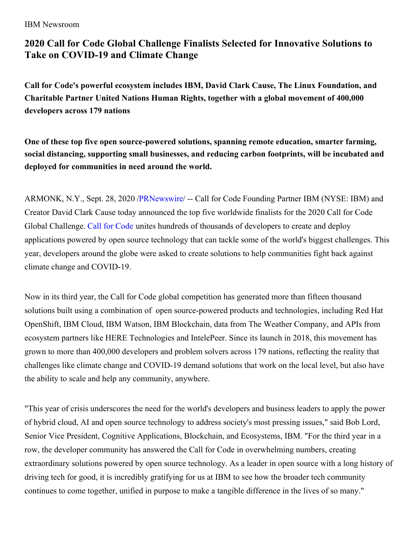IBM Newsroom

# **2020 Call for Code Global Challenge Finalists Selected for Innovative Solutions to Take on COVID-19 and Climate Change**

**Call for Code's powerful ecosystem includes IBM, David Clark Cause, The Linux Foundation, and Charitable Partner United Nations Human Rights, together with a global movement of 400,000 developers across 179 nations**

**One of these top five open source-powered solutions, spanning remote education, smarter farming, social distancing, supporting small businesses, and reducing carbon footprints, will be incubated and deployed for communities in need around the world.**

ARMONK, N.Y., Sept. 28, 2020 [/PRNewswire](http://www.prnewswire.com/)/ -- Call for Code Founding Partner IBM (NYSE: IBM) and Creator David Clark Cause today announced the top five worldwide finalists for the 2020 Call for Code Global Challenge. Call for [Code](https://c212.net/c/link/?t=0&l=en&o=2929448-1&h=3167547051&u=https%3A%2F%2Fdeveloper.ibm.com%2Fcallforcode%2F&a=Call+for+Code) unites hundreds of thousands of developers to create and deploy applications powered by open source technology that can tackle some of the world's biggest challenges. This year, developers around the globe were asked to create solutions to help communities fight back against climate change and COVID-19.

Now in its third year, the Call for Code global competition has generated more than fifteen thousand solutions built using a combination of open source-powered products and technologies, including Red Hat OpenShift, IBM Cloud, IBM Watson, IBM Blockchain, data from The Weather Company, and APIs from ecosystem partners like HERE Technologies and IntelePeer. Since its launch in 2018, this movement has grown to more than 400,000 developers and problem solvers across 179 nations, reflecting the reality that challenges like climate change and COVID-19 demand solutions that work on the local level, but also have the ability to scale and help any community, anywhere.

"This year of crisis underscores the need for the world's developers and business leaders to apply the power of hybrid cloud, AI and open source technology to address society's most pressing issues," said Bob Lord, Senior Vice President, Cognitive Applications, Blockchain, and Ecosystems, IBM. "For the third year in a row, the developer community has answered the Call for Code in overwhelming numbers, creating extraordinary solutions powered by open source technology. As a leader in open source with a long history of driving tech for good, it is incredibly gratifying for us at IBM to see how the broader tech community continues to come together, unified in purpose to make a tangible difference in the lives of so many."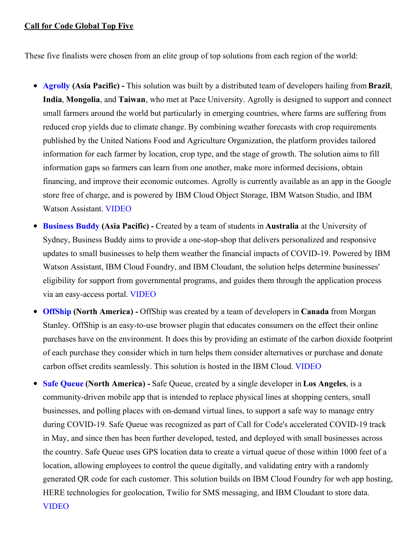#### **Call for Code Global Top Five**

These five finalists were chosen from an elite group of top solutions from each region of the world:

- **[Agrolly](https://c212.net/c/link/?t=0&l=en&o=2929448-1&h=2799882721&u=https%3A%2F%2Fdeveloper.ibm.com%2Fblogs%2Fagrolly%2F&a=Agrolly) (Asia Pacific) -** This solution was built by a distributed team of developers hailing from**Brazil**, **India**, **Mongolia**, and **Taiwan**, who met at Pace University. Agrolly is designed to support and connect small farmers around the world but particularly in emerging countries, where farms are suffering from reduced crop yields due to climate change. By combining weather forecasts with crop requirements published by the United Nations Food and Agriculture Organization, the platform provides tailored information for each farmer by location, crop type, and the stage of growth. The solution aims to fill information gaps so farmers can learn from one another, make more informed decisions, obtain financing, and improve their economic outcomes. Agrolly is currently available as an app in the Google store free of charge, and is powered by IBM Cloud Object Storage, IBM Watson Studio, and IBM Watson Assistant. [VIDEO](https://c212.net/c/link/?t=0&l=en&o=2929448-1&h=2639403764&u=https%3A%2F%2Fyoutu.be%2FegyKCt1ccuY&a=VIDEO)
- **[Business](https://c212.net/c/link/?t=0&l=en&o=2929448-1&h=437345171&u=https%3A%2F%2Fdeveloper.ibm.com%2Fblogs%2Fbusiness-buddy%2F&a=Business+Buddy) Buddy (Asia Pacific) -** Created by a team of students in **Australia** at the University of Sydney, Business Buddy aims to provide a one-stop-shop that delivers personalized and responsive updates to small businesses to help them weather the financial impacts of COVID-19. Powered by IBM Watson Assistant, IBM Cloud Foundry, and IBM Cloudant, the solution helps determine businesses' eligibility for support from governmental programs, and guides them through the application process via an easy-access portal. [VIDEO](https://c212.net/c/link/?t=0&l=en&o=2929448-1&h=919338222&u=https%3A%2F%2Fyoutu.be%2FLSKaNkjTDZM&a=VIDEO)
- **[OffShip](https://c212.net/c/link/?t=0&l=en&o=2929448-1&h=3704950756&u=https%3A%2F%2Fdeveloper.ibm.com%2Fblogs%2Foffship%2F&a=OffShip) (North America) -** OffShip was created by a team of developers in **Canada** from Morgan Stanley. OffShip is an easy-to-use browser plugin that educates consumers on the effect their online purchases have on the environment. It does this by providing an estimate of the carbon dioxide footprint of each purchase they consider which in turn helps them consider alternatives or purchase and donate carbon offset credits seamlessly. This solution is hosted in the IBM Cloud. [VIDEO](https://c212.net/c/link/?t=0&l=en&o=2929448-1&h=2084401954&u=https%3A%2F%2Fyoutu.be%2FNWnxRUT2hh4&a=VIDEO)
- **Safe [Queue](https://c212.net/c/link/?t=0&l=en&o=2929448-1&h=705519152&u=https%3A%2F%2Fdeveloper.ibm.com%2Fblogs%2Fsafequeue%2F&a=Safe+Queue) (North America) -** Safe Queue, created by a single developer in **Los Angeles**, is a community-driven mobile app that is intended to replace physical lines at shopping centers, small businesses, and polling places with on-demand virtual lines, to support a safe way to manage entry during COVID-19. Safe Queue was recognized as part of Call for Code's accelerated COVID-19 track in May, and since then has been further developed, tested, and deployed with small businesses across the country. Safe Queue uses GPS location data to create a virtual queue of those within 1000 feet of a location, allowing employees to control the queue digitally, and validating entry with a randomly generated QR code for each customer. This solution builds on IBM Cloud Foundry for web app hosting, HERE technologies for geolocation, Twilio for SMS messaging, and IBM Cloudant to store data. [VIDEO](https://c212.net/c/link/?t=0&l=en&o=2929448-1&h=2079752348&u=https%3A%2F%2Fyoutu.be%2FWSHtpOu3R1s&a=VIDEO)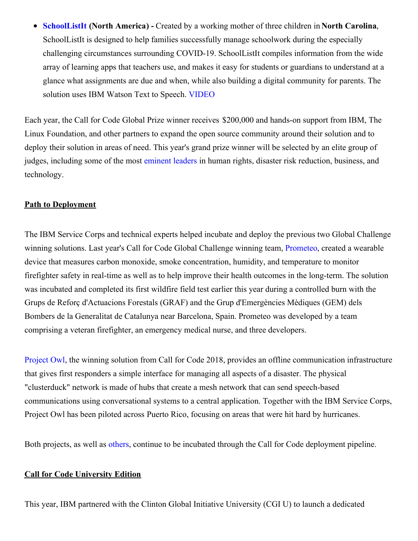**[SchoolListIt](https://c212.net/c/link/?t=0&l=en&o=2929448-1&h=753001641&u=https%3A%2F%2Fdeveloper.ibm.com%2Fblogs%2Fschoollistit%2F&a=SchoolListIt) (North America) -** Created by a working mother of three children in **North Carolina**, SchoolListIt is designed to help families successfully manage schoolwork during the especially challenging circumstances surrounding COVID-19. SchoolListIt compiles information from the wide array of learning apps that teachers use, and makes it easy for students or guardians to understand at a glance what assignments are due and when, while also building a digital community for parents. The solution uses IBM Watson Text to Speech. [VIDEO](https://c212.net/c/link/?t=0&l=en&o=2929448-1&h=1640129817&u=https%3A%2F%2Fyoutu.be%2FqV5gUgjTvxE&a=VIDEO)

Each year, the Call for Code Global Prize winner receives \$200,000 and hands-on support from IBM, The Linux Foundation, and other partners to expand the open source community around their solution and to deploy their solution in areas of need. This year's grand prize winner will be selected by an elite group of judges, including some of the most [eminent](https://c212.net/c/link/?t=0&l=en&o=2929448-1&h=1748869458&u=https%3A%2F%2Fcallforcode.org%2Fjudges%2F&a=eminent+leaders) leaders in human rights, disaster risk reduction, business, and technology.

### **Path to Deployment**

The IBM Service Corps and technical experts helped incubate and deploy the previous two Global Challenge winning solutions. Last year's Call for Code Global Challenge winning team, [Prometeo](https://c212.net/c/link/?t=0&l=en&o=2929448-1&h=1709511968&u=https%3A%2F%2Fdeveloper.ibm.com%2Fcode-and-response%2Fdeployments%2Fprometeo%2F&a=Prometeo), created a wearable device that measures carbon monoxide, smoke concentration, humidity, and temperature to monitor firefighter safety in real-time as well as to help improve their health outcomes in the long-term. The solution was incubated and completed its first wildfire field test earlier this year during a controlled burn with the Grups de Reforç d'Actuacions Forestals (GRAF) and the Grup d'Emergències Mèdiques (GEM) dels Bombers de la Generalitat de Catalunya near Barcelona, Spain. Prometeo was developed by a team comprising a veteran firefighter, an emergency medical nurse, and three developers.

[Project](https://c212.net/c/link/?t=0&l=en&o=2929448-1&h=4263313885&u=https%3A%2F%2Fdeveloper.ibm.com%2Fcode-and-response%2Fdeployments%2Fproject-owl%2F&a=Project+Owl) Owl, the winning solution from Call for Code 2018, provides an offline communication infrastructure that gives first responders a simple interface for managing all aspects of a disaster. The physical "clusterduck" network is made of hubs that create a mesh network that can send speech-based communications using conversational systems to a central application. Together with the IBM Service Corps, Project Owl has been piloted across Puerto Rico, focusing on areas that were hit hard by hurricanes.

Both projects, as well as [others,](https://c212.net/c/link/?t=0&l=en&o=2929448-1&h=2362471550&u=https%3A%2F%2Fdeveloper.ibm.com%2Fcallforcode%2Fprojects%2F&a=others) continue to be incubated through the Call for Code deployment pipeline.

#### **Call for Code University Edition**

This year, IBM partnered with the Clinton Global Initiative University (CGI U) to launch a dedicated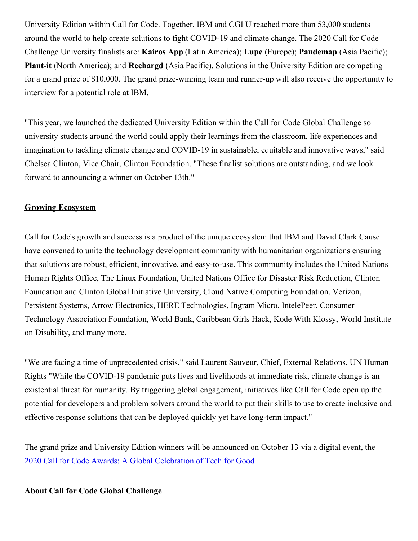University Edition within Call for Code. Together, IBM and CGI U reached more than 53,000 students around the world to help create solutions to fight COVID-19 and climate change. The 2020 Call for Code Challenge University finalists are: **Kairos App** (Latin America); **Lupe** (Europe); **Pandemap** (Asia Pacific); **Plant-it** (North America); and **Rechargd** (Asia Pacific). Solutions in the University Edition are competing for a grand prize of \$10,000. The grand prize-winning team and runner-up will also receive the opportunity to interview for a potential role at IBM.

"This year, we launched the dedicated University Edition within the Call for Code Global Challenge so university students around the world could apply their learnings from the classroom, life experiences and imagination to tackling climate change and COVID-19 in sustainable, equitable and innovative ways," said Chelsea Clinton, Vice Chair, Clinton Foundation. "These finalist solutions are outstanding, and we look forward to announcing a winner on October 13th."

#### **Growing Ecosystem**

Call for Code's growth and success is a product of the unique ecosystem that IBM and David Clark Cause have convened to unite the technology development community with humanitarian organizations ensuring that solutions are robust, efficient, innovative, and easy-to-use. This community includes the United Nations Human Rights Office, The Linux Foundation, United Nations Office for Disaster Risk Reduction, Clinton Foundation and Clinton Global Initiative University, Cloud Native Computing Foundation, Verizon, Persistent Systems, Arrow Electronics, HERE Technologies, Ingram Micro, IntelePeer, Consumer Technology Association Foundation, World Bank, Caribbean Girls Hack, Kode With Klossy, World Institute on Disability, and many more.

"We are facing a time of unprecedented crisis," said Laurent Sauveur, Chief, External Relations, UN Human Rights "While the COVID-19 pandemic puts lives and livelihoods at immediate risk, climate change is an existential threat for humanity. By triggering global engagement, initiatives like Call for Code open up the potential for developers and problem solvers around the world to put their skills to use to create inclusive and effective response solutions that can be deployed quickly yet have long-term impact."

The grand prize and University Edition winners will be announced on October 13 via a digital event, the 2020 Call for Code Awards: A Global [Celebration](https://c212.net/c/link/?t=0&l=en&o=2929448-1&h=2208326141&u=https%3A%2F%2Fdeveloper.ibm.com%2Fcallforcode%2Fawards%2F&a=2020+Call+for+Code+Awards%3A+A+Global+Celebration+of+Tech+for+Good) of Tech for Good .

#### **About Call for Code Global Challenge**